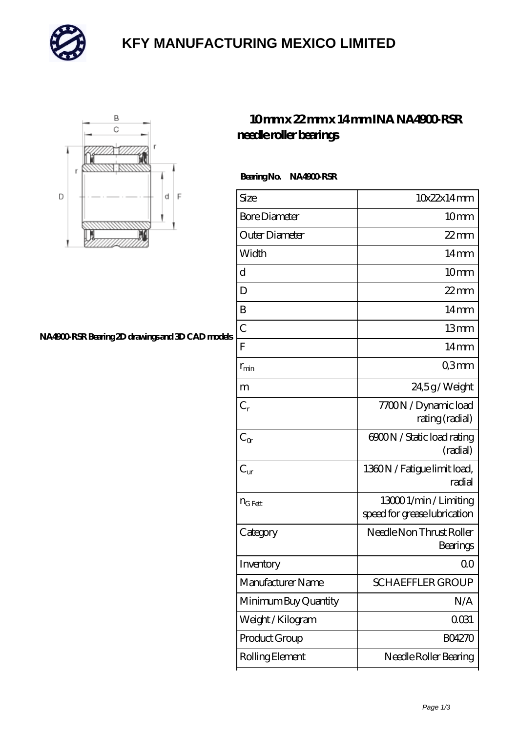

## **[KFY MANUFACTURING MEXICO LIMITED](https://mailemotion.tv)**



#### **[NA4900-RSR Bearing 2D drawings and 3D CAD models](https://mailemotion.tv/pic-414859.html)**

### **[10 mm x 22 mm x 14 mm INA NA4900-RSR](https://mailemotion.tv/be-414859-ina-na4900-rsr-needle-roller-bearings.html) [needle roller bearings](https://mailemotion.tv/be-414859-ina-na4900-rsr-needle-roller-bearings.html)**

Bearing No. NA4900 RSR

| Size                 | 10x22x14mm                                             |
|----------------------|--------------------------------------------------------|
| <b>Bore Diameter</b> | 10 <sub>mm</sub>                                       |
| Outer Diameter       | 22 mm                                                  |
| Width                | $14 \text{mm}$                                         |
| d                    | 10mm                                                   |
| D                    | $22$ mm                                                |
| B                    | $14 \text{mm}$                                         |
| $\overline{C}$       | 13mm                                                   |
| F                    | $14 \text{mm}$                                         |
| $r_{\rm min}$        | Q3mm                                                   |
| m                    | 24,5g/Weight                                           |
| $C_r$                | 7700N / Dynamic load<br>rating (radial)                |
| $C_{\alpha}$         | 6900N / Static load rating<br>(radial)                 |
| $C_{\text{ur}}$      | 1360N / Fatigue limit load,<br>radial                  |
| $n_{G Fett}$         | 13000 1/min / Limiting<br>speed for grease lubrication |
| Category             | Needle Non Thrust Roller<br>Bearings                   |
| Inventory            | Q0                                                     |
| Manufacturer Name    | <b>SCHAEFFLER GROUP</b>                                |
| Minimum Buy Quantity | N/A                                                    |
| Weight / Kilogram    | 0031                                                   |
| Product Group        | <b>BO4270</b>                                          |
| Rolling Element      | Needle Roller Bearing                                  |
|                      |                                                        |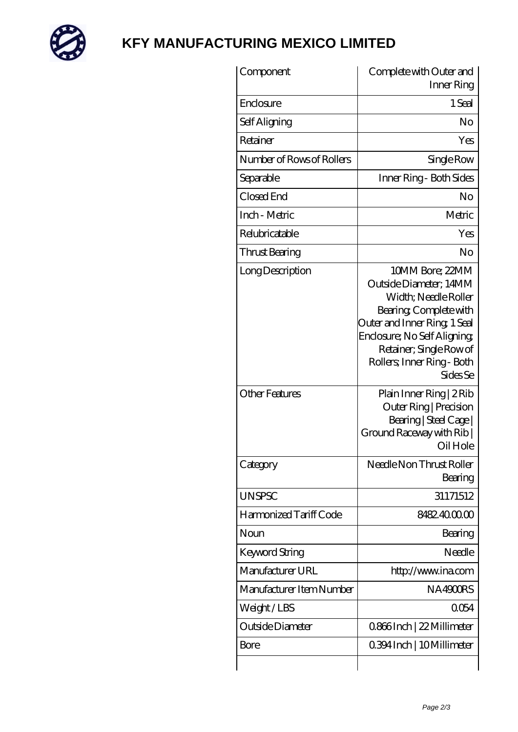

## **[KFY MANUFACTURING MEXICO LIMITED](https://mailemotion.tv)**

| Component                 | Complete with Outer and<br>Inner Ring                                                                                                                                                                                            |
|---------------------------|----------------------------------------------------------------------------------------------------------------------------------------------------------------------------------------------------------------------------------|
| Enclosure                 | 1 Seal                                                                                                                                                                                                                           |
| Self Aligning             | No                                                                                                                                                                                                                               |
| Retainer                  | Yes                                                                                                                                                                                                                              |
| Number of Rows of Rollers | Single Row                                                                                                                                                                                                                       |
| Separable                 | Inner Ring - Both Sides                                                                                                                                                                                                          |
| Closed End                | No                                                                                                                                                                                                                               |
| Inch - Metric             | Metric                                                                                                                                                                                                                           |
| Relubricatable            | Yes                                                                                                                                                                                                                              |
| Thrust Bearing            | No                                                                                                                                                                                                                               |
| Long Description          | 10MM Bore; 22MM<br>Outside Diameter: 14MM<br>Width; Needle Roller<br>Bearing, Complete with<br>Outer and Inner Ring, 1 Seal<br>Enclosure; No Self Aligning;<br>Retainer; Single Row of<br>Rollers; Inner Ring - Both<br>Sides Se |
| Other Features            | Plain Inner Ring   2 Rib<br>Outer Ring   Precision<br>Bearing   Steel Cage  <br>Ground Raceway with Rib  <br>Oil Hole                                                                                                            |
| Category                  | Needle Non Thrust Roller<br>Bearing                                                                                                                                                                                              |
| <b>UNSPSC</b>             | 31171512                                                                                                                                                                                                                         |
| Harmonized Tariff Code    | 8482.4000.00                                                                                                                                                                                                                     |
| Noun                      | Bearing                                                                                                                                                                                                                          |
| <b>Keyword String</b>     | Needle                                                                                                                                                                                                                           |
| Manufacturer URL          | http://www.ina.com                                                                                                                                                                                                               |
| Manufacturer Item Number  | NA4900RS                                                                                                                                                                                                                         |
| Weight/LBS                | 0054                                                                                                                                                                                                                             |
| Outside Diameter          | 0866Inch   22 Millimeter                                                                                                                                                                                                         |
| Bore                      | 0.394 Inch   10 Millimeter                                                                                                                                                                                                       |
|                           |                                                                                                                                                                                                                                  |